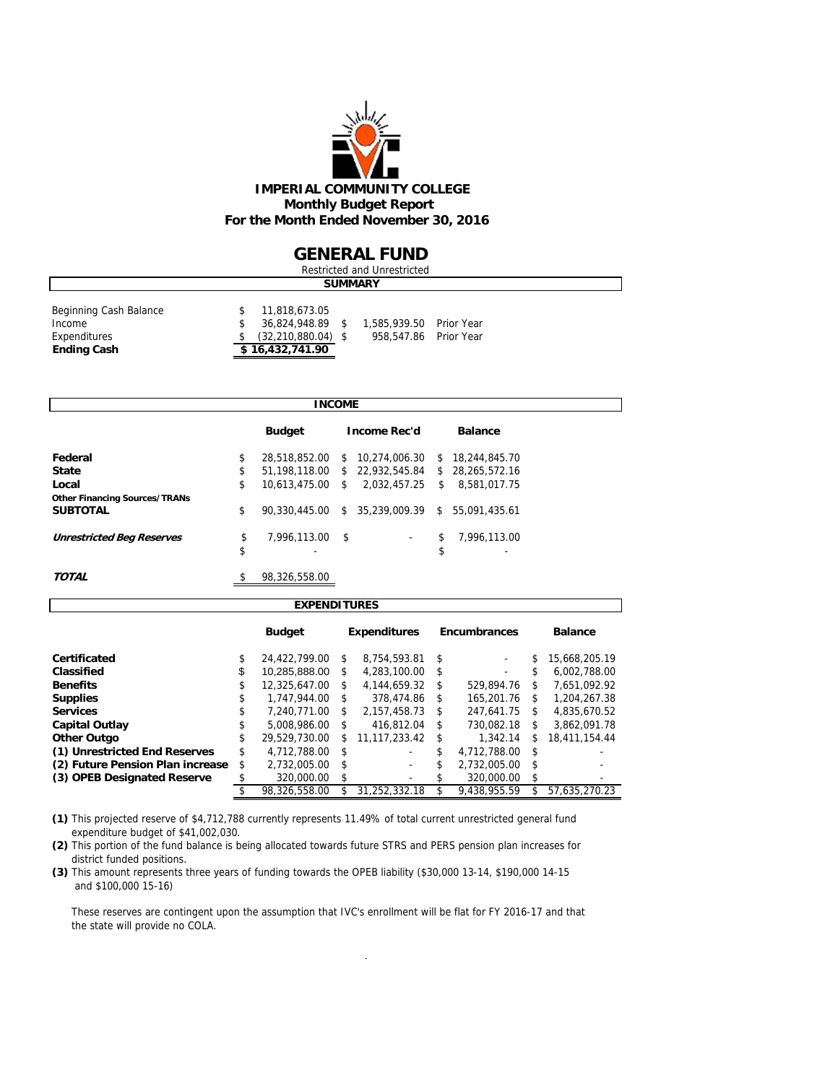

### **GENERAL FUND**

| Restricted and Unrestricted                      |  |                                                             |  |                                                  |  |  |  |  |  |  |
|--------------------------------------------------|--|-------------------------------------------------------------|--|--------------------------------------------------|--|--|--|--|--|--|
| <b>SUMMARY</b>                                   |  |                                                             |  |                                                  |  |  |  |  |  |  |
| Beginning Cash Balance<br>Income<br>Expenditures |  | 11,818,673.05<br>36,824,948.89 \$<br>$(32, 210, 880.04)$ \$ |  | 1,585,939.50 Prior Year<br>958,547.86 Prior Year |  |  |  |  |  |  |
| \$16,432,741.90<br><b>Ending Cash</b>            |  |                                                             |  |                                                  |  |  |  |  |  |  |

|                                      | <b>INCOME</b> |                  |      |                                                 |    |                 |  |  |  |
|--------------------------------------|---------------|------------------|------|-------------------------------------------------|----|-----------------|--|--|--|
|                                      |               | <b>Budget</b>    |      | <b>Income Rec'd</b>                             |    | <b>Balance</b>  |  |  |  |
| Federal                              | \$            | 28,518,852.00    | S.   | 10.274.006.30                                   |    | \$18,244,845.70 |  |  |  |
| <b>State</b>                         | \$            |                  |      | 51,198,118.00 \$ 22,932,545.84 \$ 28,265,572.16 |    |                 |  |  |  |
| Local                                | \$            | 10.613.475.00 \$ |      | 2.032.457.25                                    | \$ | 8,581,017.75    |  |  |  |
| <b>Other Financing Sources/TRANs</b> |               |                  |      |                                                 |    |                 |  |  |  |
| <b>SUBTOTAL</b>                      | \$            | 90.330.445.00    |      | $$35.239.009.39$ \$                             |    | 55.091.435.61   |  |  |  |
| <b>Unrestricted Beg Reserves</b>     | \$            | 7,996,113.00     | - \$ | $\sim$                                          | \$ | 7.996.113.00    |  |  |  |
|                                      | \$            |                  |      |                                                 | \$ | ۰               |  |  |  |
| <b>TOTAL</b>                         | \$            | 98.326.558.00    |      |                                                 |    |                 |  |  |  |

| <b>EXPENDITURES</b>              |    |               |         |                     |            |                     |    |                |  |  |  |  |  |
|----------------------------------|----|---------------|---------|---------------------|------------|---------------------|----|----------------|--|--|--|--|--|
|                                  |    | <b>Budget</b> |         | <b>Expenditures</b> |            | <b>Encumbrances</b> |    | <b>Balance</b> |  |  |  |  |  |
| Certificated                     | \$ | 24.422.799.00 | \$      | 8.754.593.81        | \$         |                     | \$ | 15.668.205.19  |  |  |  |  |  |
| Classified                       | \$ | 10.285.888.00 | \$      | 4.283.100.00        | \$         | ۰                   | \$ | 6.002.788.00   |  |  |  |  |  |
| <b>Benefits</b>                  | \$ | 12.325.647.00 | \$      | 4.144.659.32        | S          | 529.894.76          | S  | 7.651.092.92   |  |  |  |  |  |
| <b>Supplies</b>                  | \$ | 1,747,944.00  | \$      | 378,474.86          | \$         | 165,201.76          | \$ | 1.204.267.38   |  |  |  |  |  |
| <b>Services</b>                  | \$ | 7.240.771.00  | \$      | 2,157,458.73        | \$         | 247.641.75          | \$ | 4.835.670.52   |  |  |  |  |  |
| <b>Capital Outlay</b>            | \$ | 5.008.986.00  | \$      | 416.812.04          | \$         | 730.082.18          | \$ | 3.862.091.78   |  |  |  |  |  |
| Other Outgo                      | \$ | 29.529.730.00 | \$      | 11.117.233.42       | \$         | 1.342.14            | \$ | 18.411.154.44  |  |  |  |  |  |
| (1) Unrestricted End Reserves    | \$ | 4.712.788.00  | \$      |                     | \$         | 4.712.788.00        | \$ |                |  |  |  |  |  |
| (2) Future Pension Plan increase | \$ | 2,732,005.00  | \$      | ۰                   | \$         | 2.732.005.00        | \$ |                |  |  |  |  |  |
| (3) OPEB Designated Reserve      |    | 320,000.00    | \$<br>۰ |                     | 320,000.00 |                     | \$ |                |  |  |  |  |  |
|                                  |    | 98,326,558.00 |         | 31.252.332.18       |            | 9.438.955.59        | \$ | 57,635,270.23  |  |  |  |  |  |

**(1)** This projected reserve of \$4,712,788 currently represents 11.49% of total current unrestricted general fund expenditure budget of \$41,002,030.

**(2)** This portion of the fund balance is being allocated towards future STRS and PERS pension plan increases for district funded positions.

**(3)** This amount represents three years of funding towards the OPEB liability (\$30,000 13-14, \$190,000 14-15 and \$100,000 15-16)

 These reserves are contingent upon the assumption that IVC's enrollment will be flat for FY 2016-17 and that the state will provide no COLA.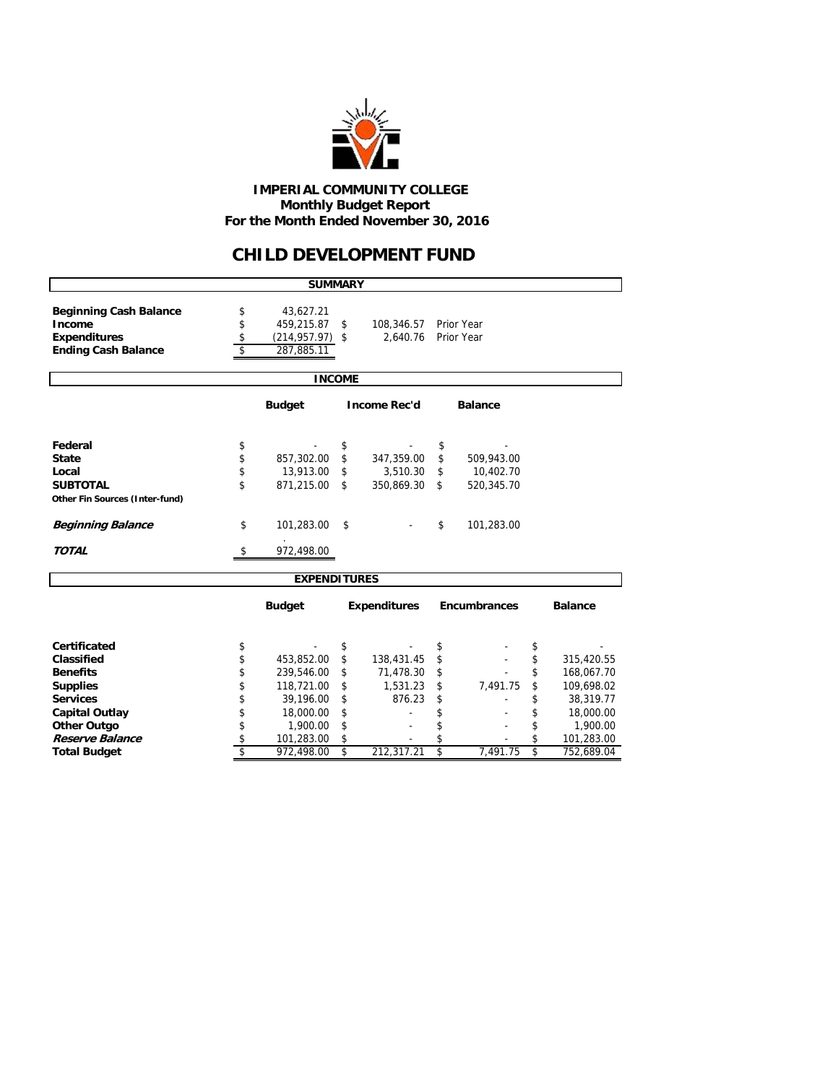

 **IMPERIAL COMMUNITY COLLEGE Monthly Budget Report For the Month Ended November 30, 2016**

### **CHILD DEVELOPMENT FUND**

|                                                                                              |                      | <b>SUMMARY</b>                                              |                      |                                      |                      |                                       |                |                                      |  |  |  |  |  |
|----------------------------------------------------------------------------------------------|----------------------|-------------------------------------------------------------|----------------------|--------------------------------------|----------------------|---------------------------------------|----------------|--------------------------------------|--|--|--|--|--|
| <b>Beginning Cash Balance</b><br>Income<br><b>Expenditures</b><br><b>Ending Cash Balance</b> | \$<br>\$<br>\$<br>\$ | 43,627.21<br>459,215.87<br>$(214, 957.97)$ \$<br>287,885.11 | \$                   | 108,346.57<br>2,640.76               |                      | Prior Year<br>Prior Year              |                |                                      |  |  |  |  |  |
|                                                                                              | <b>INCOME</b>        |                                                             |                      |                                      |                      |                                       |                |                                      |  |  |  |  |  |
| <b>Budget</b><br><b>Income Rec'd</b><br><b>Balance</b>                                       |                      |                                                             |                      |                                      |                      |                                       |                |                                      |  |  |  |  |  |
| Federal<br><b>State</b><br>Local<br><b>SUBTOTAL</b>                                          | \$<br>\$<br>\$<br>\$ | 857,302.00<br>13,913.00<br>871,215.00                       | \$<br>\$<br>\$<br>\$ | 347,359.00<br>3,510.30<br>350,869.30 | \$<br>\$<br>\$<br>\$ | 509,943.00<br>10,402.70<br>520,345.70 |                |                                      |  |  |  |  |  |
| Other Fin Sources (Inter-fund)<br><b>Beginning Balance</b><br><b>TOTAL</b>                   | \$<br>\$             | 101,283.00<br>972,498.00                                    | \$                   |                                      | \$                   | 101,283.00                            |                |                                      |  |  |  |  |  |
|                                                                                              |                      | <b>EXPENDITURES</b>                                         |                      |                                      |                      |                                       |                |                                      |  |  |  |  |  |
|                                                                                              |                      | <b>Budget</b>                                               |                      | <b>Expenditures</b>                  |                      | <b>Encumbrances</b>                   |                | <b>Balance</b>                       |  |  |  |  |  |
|                                                                                              |                      |                                                             |                      |                                      |                      |                                       |                |                                      |  |  |  |  |  |
| Certificated<br>Classified<br><b>Benefits</b>                                                | \$<br>\$<br>\$       | 453,852.00<br>239,546.00                                    | \$<br>\$<br>\$       | 138,431.45<br>71,478.30              | \$<br>\$<br>\$       |                                       | \$<br>\$<br>\$ | 315,420.55<br>168,067.70             |  |  |  |  |  |
| <b>Supplies</b><br><b>Services</b><br><b>Capital Outlay</b>                                  | \$<br>\$<br>\$       | 118,721.00<br>39,196.00<br>18,000.00                        | \$<br>\$<br>\$       | 1,531.23<br>876.23                   | \$<br>\$<br>\$       | 7,491.75                              | \$<br>\$<br>\$ | 109,698.02<br>38,319.77<br>18,000.00 |  |  |  |  |  |
| <b>Other Outgo</b><br>Reserve Balance<br><b>Total Budget</b>                                 | \$<br>\$<br>\$       | 1,900.00<br>101,283.00<br>972,498.00                        | \$<br>\$<br>\$       | 212,317.21                           | \$<br>\$<br>\$       | 7.491.75                              | \$<br>\$<br>\$ | 1,900.00<br>101,283.00<br>752,689.04 |  |  |  |  |  |
|                                                                                              |                      |                                                             |                      |                                      |                      |                                       |                |                                      |  |  |  |  |  |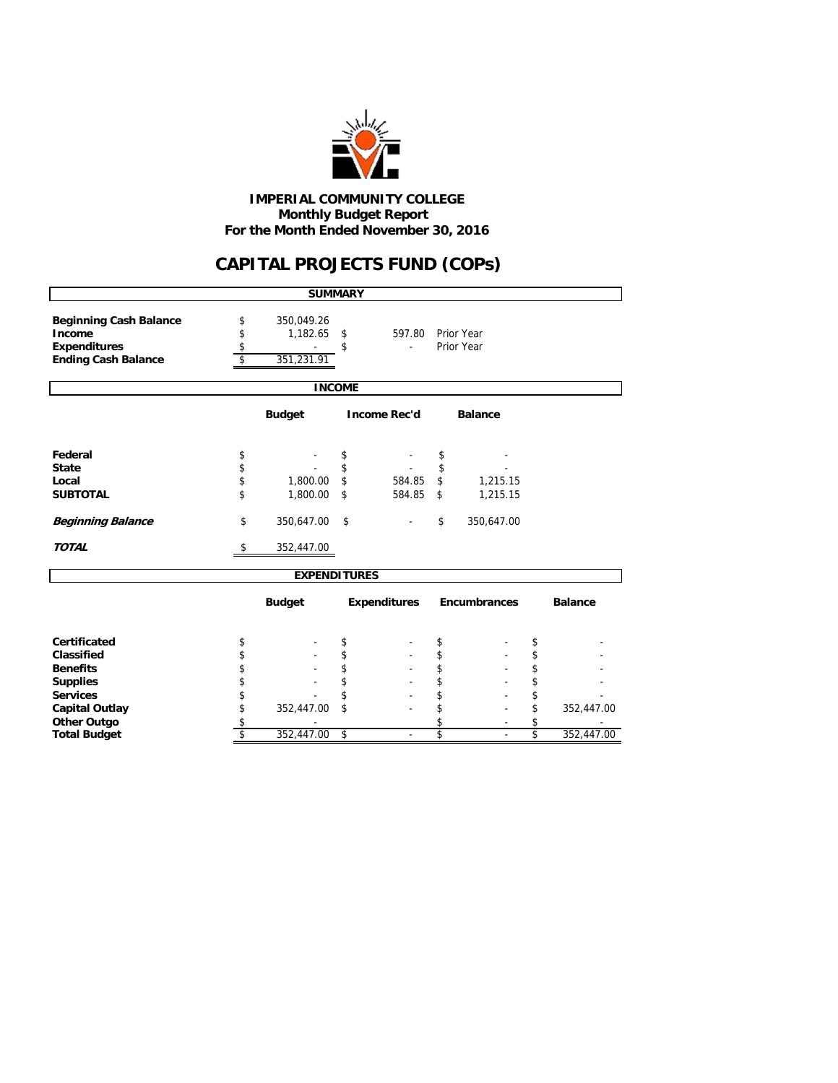

 **Monthly Budget Report For the Month Ended November 30, 2016 IMPERIAL COMMUNITY COLLEGE**

## **CAPITAL PROJECTS FUND (COPs)**

|                                                                                              |                      | <b>SUMMARY</b>                            |                     |                          |                  |
|----------------------------------------------------------------------------------------------|----------------------|-------------------------------------------|---------------------|--------------------------|------------------|
| <b>Beginning Cash Balance</b><br>Income<br><b>Expenditures</b><br><b>Ending Cash Balance</b> | \$<br>\$<br>\$<br>\$ | 350,049.26<br>$1,182.65$ \$<br>351,231.91 | \$<br>597.80<br>÷.  | Prior Year<br>Prior Year |                  |
|                                                                                              |                      | <b>INCOME</b>                             |                     |                          |                  |
|                                                                                              |                      | <b>Budget</b>                             | <b>Income Rec'd</b> | <b>Balance</b>           |                  |
| Federal                                                                                      | \$                   |                                           | \$                  | \$                       |                  |
| <b>State</b>                                                                                 | \$                   |                                           | \$                  | \$                       |                  |
| Local                                                                                        | \$                   | 1,800.00                                  | \$<br>584.85        | \$<br>1,215.15           |                  |
| <b>SUBTOTAL</b>                                                                              | \$                   | 1,800.00                                  | \$<br>584.85        | \$<br>1,215.15           |                  |
| <b>Beginning Balance</b>                                                                     | \$                   | 350,647.00                                | \$                  | \$<br>350,647.00         |                  |
| <b>TOTAL</b>                                                                                 | \$                   | 352,447.00                                |                     |                          |                  |
|                                                                                              |                      | <b>EXPENDITURES</b>                       |                     |                          |                  |
|                                                                                              |                      | <b>Budget</b>                             | <b>Expenditures</b> | <b>Encumbrances</b>      | <b>Balance</b>   |
| Certificated                                                                                 | \$                   |                                           | \$                  | \$                       | \$               |
| Classified                                                                                   | \$                   |                                           | \$                  | \$                       | \$               |
| <b>Benefits</b>                                                                              | \$                   |                                           | \$                  | \$                       | \$               |
| <b>Supplies</b>                                                                              | \$                   |                                           | \$                  | \$                       | \$               |
| <b>Services</b>                                                                              | \$                   |                                           | \$                  | \$                       | \$               |
| <b>Capital Outlay</b>                                                                        | \$                   | 352,447.00                                | \$                  | \$                       | \$<br>352,447.00 |
| <b>Other Outgo</b>                                                                           | \$                   |                                           |                     | \$                       | \$               |
| <b>Total Budget</b>                                                                          | \$                   | 352,447.00                                | \$                  | \$                       | \$<br>352,447.00 |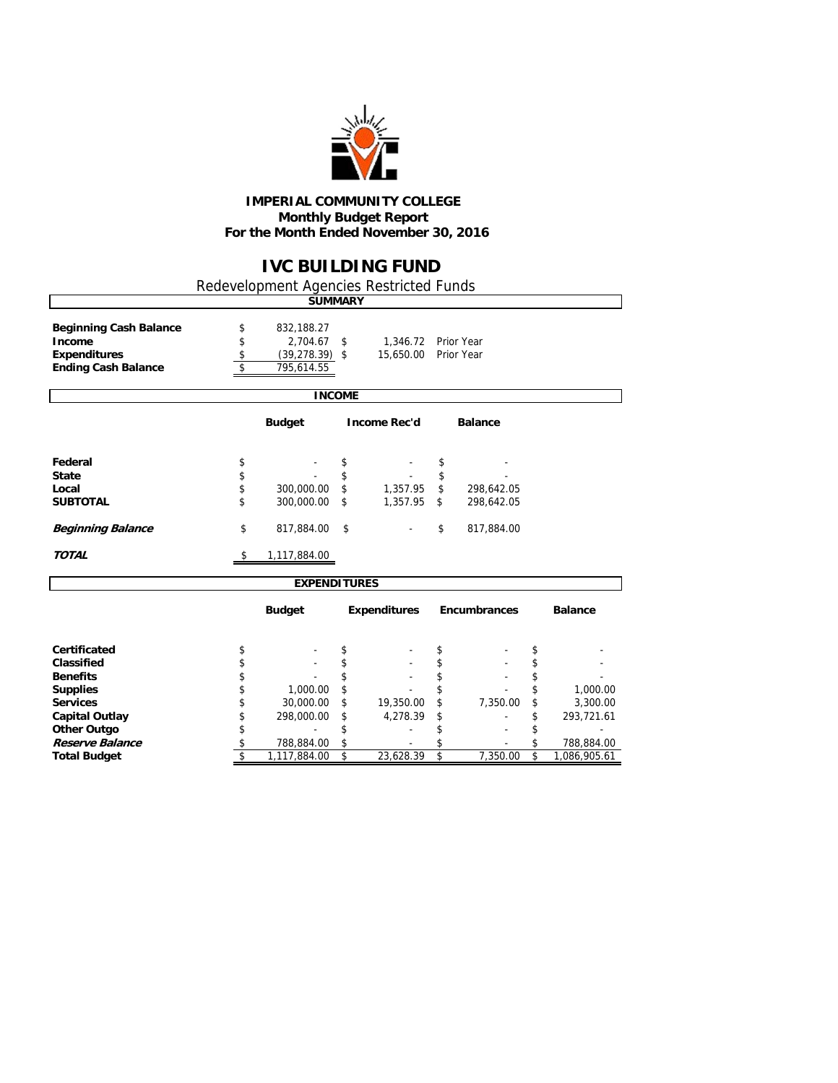

#### **IMPERIAL COMMUNITY COLLEGE Monthly Budget Report For the Month Ended November 30, 2016**

## **IVC BUILDING FUND**

٦

Redevelopment Agencies Restricted Funds

|                                                                                              |                      | <b>SUMMARY</b>                                            |               |                                             |                     |                  |
|----------------------------------------------------------------------------------------------|----------------------|-----------------------------------------------------------|---------------|---------------------------------------------|---------------------|------------------|
| <b>Beginning Cash Balance</b><br>Income<br><b>Expenditures</b><br><b>Ending Cash Balance</b> | \$<br>\$<br>\$<br>\$ | 832,188.27<br>2,704.67<br>$(39, 278.39)$ \$<br>795,614.55 | \$            | 1,346.72 Prior Year<br>15,650.00 Prior Year |                     |                  |
|                                                                                              |                      |                                                           | <b>INCOME</b> |                                             |                     |                  |
|                                                                                              |                      | <b>Budget</b>                                             |               | <b>Income Rec'd</b>                         | <b>Balance</b>      |                  |
| Federal                                                                                      | \$                   |                                                           | \$            |                                             | \$                  |                  |
| <b>State</b>                                                                                 | \$                   |                                                           | \$            |                                             | \$                  |                  |
| Local                                                                                        | \$                   | 300,000.00                                                | \$            | 1,357.95                                    | \$<br>298,642.05    |                  |
| <b>SUBTOTAL</b>                                                                              | \$                   | 300,000.00                                                | \$            | 1,357.95                                    | \$<br>298,642.05    |                  |
| <b>Beginning Balance</b>                                                                     | \$                   | 817,884.00                                                | \$            |                                             | \$<br>817,884.00    |                  |
| <b>TOTAL</b>                                                                                 | \$                   | 1,117,884.00                                              |               |                                             |                     |                  |
|                                                                                              |                      | <b>EXPENDITURES</b>                                       |               |                                             |                     |                  |
|                                                                                              |                      | <b>Budget</b>                                             |               | <b>Expenditures</b>                         | <b>Encumbrances</b> | <b>Balance</b>   |
| <b>Certificated</b>                                                                          | \$                   |                                                           | \$            |                                             | \$                  | \$               |
| Classified                                                                                   | \$                   |                                                           | \$            |                                             | \$                  | \$               |
| <b>Benefits</b>                                                                              | \$                   |                                                           | \$            |                                             | \$                  | \$               |
| <b>Supplies</b>                                                                              | \$                   | 1,000.00                                                  | \$            |                                             | \$                  | \$<br>1,000.00   |
| <b>Services</b>                                                                              | \$                   | 30,000.00                                                 | \$            | 19,350.00                                   | \$<br>7,350.00      | \$<br>3,300.00   |
| <b>Capital Outlay</b>                                                                        | \$                   | 298,000.00                                                | \$            | 4,278.39                                    | \$                  | \$<br>293,721.61 |
| <b>Other Outgo</b>                                                                           | \$                   |                                                           | \$            |                                             | \$                  |                  |
| Reserve Balance                                                                              | \$                   | 788,884.00                                                | \$            |                                             | \$                  | \$<br>788,884.00 |

**Total Budget** \$ 1,117,884.00 \$ 23,628.39 \$ 7,350.00 \$ 1,086,905.61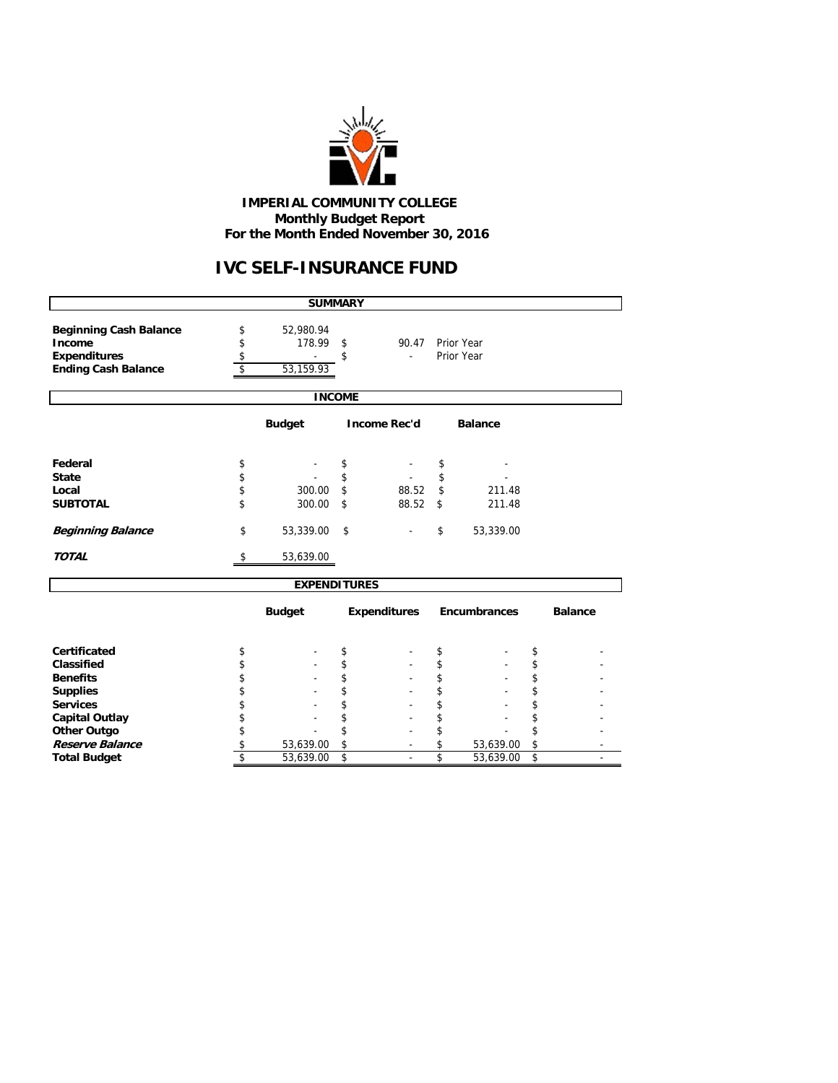

#### **IMPERIAL COMMUNITY COLLEGE Monthly Budget Report For the Month Ended November 30, 2016**

# **IVC SELF-INSURANCE FUND**

|                                                                                              |                |                     | <b>SUMMARY</b> |                     |                 |                     |          |                |  |  |  |  |  |
|----------------------------------------------------------------------------------------------|----------------|---------------------|----------------|---------------------|-----------------|---------------------|----------|----------------|--|--|--|--|--|
| <b>Beginning Cash Balance</b><br>Income<br><b>Expenditures</b><br><b>Ending Cash Balance</b> | \$<br>\$<br>\$ |                     |                |                     |                 |                     |          |                |  |  |  |  |  |
|                                                                                              |                |                     | <b>INCOME</b>  |                     |                 |                     |          |                |  |  |  |  |  |
| <b>Budget</b><br><b>Income Rec'd</b><br><b>Balance</b>                                       |                |                     |                |                     |                 |                     |          |                |  |  |  |  |  |
| Federal                                                                                      | \$             |                     | \$             |                     | \$              |                     |          |                |  |  |  |  |  |
| <b>State</b><br>Local<br><b>SUBTOTAL</b>                                                     | \$<br>\$<br>\$ | 300.00<br>300.00    | \$<br>\$<br>\$ | 88.52<br>88.52      | \$<br>\$<br>\$  | 211.48<br>211.48    |          |                |  |  |  |  |  |
| <b>Beginning Balance</b>                                                                     | \$             | 53,339.00           | \$             |                     | 53,339.00<br>\$ |                     |          |                |  |  |  |  |  |
| <b>TOTAL</b>                                                                                 | \$             | 53,639.00           |                |                     |                 |                     |          |                |  |  |  |  |  |
|                                                                                              |                | <b>EXPENDITURES</b> |                |                     |                 |                     |          |                |  |  |  |  |  |
|                                                                                              |                | <b>Budget</b>       |                | <b>Expenditures</b> |                 | <b>Encumbrances</b> |          | <b>Balance</b> |  |  |  |  |  |
| Certificated                                                                                 | \$             |                     | \$             |                     | \$              |                     | \$       |                |  |  |  |  |  |
| Classified                                                                                   | \$             |                     | \$             |                     | \$              |                     | \$       |                |  |  |  |  |  |
| <b>Benefits</b><br><b>Supplies</b>                                                           | \$<br>\$       |                     | \$<br>\$       |                     | \$<br>\$        |                     | \$<br>\$ |                |  |  |  |  |  |
| <b>Services</b>                                                                              | \$             |                     |                |                     | \$              |                     | \$       |                |  |  |  |  |  |
| <b>Capital Outlay</b>                                                                        | \$             |                     |                |                     | \$              |                     | \$       |                |  |  |  |  |  |
| <b>Other Outgo</b>                                                                           | \$             |                     | \$             |                     | \$              |                     | \$       |                |  |  |  |  |  |
| Reserve Balance                                                                              | \$             | 53,639.00           | \$             |                     | \$              | 53,639.00           | \$       |                |  |  |  |  |  |
| <b>Total Budget</b>                                                                          | \$             | 53,639.00           | \$             | ÷.                  | \$              | 53,639.00           | \$       |                |  |  |  |  |  |